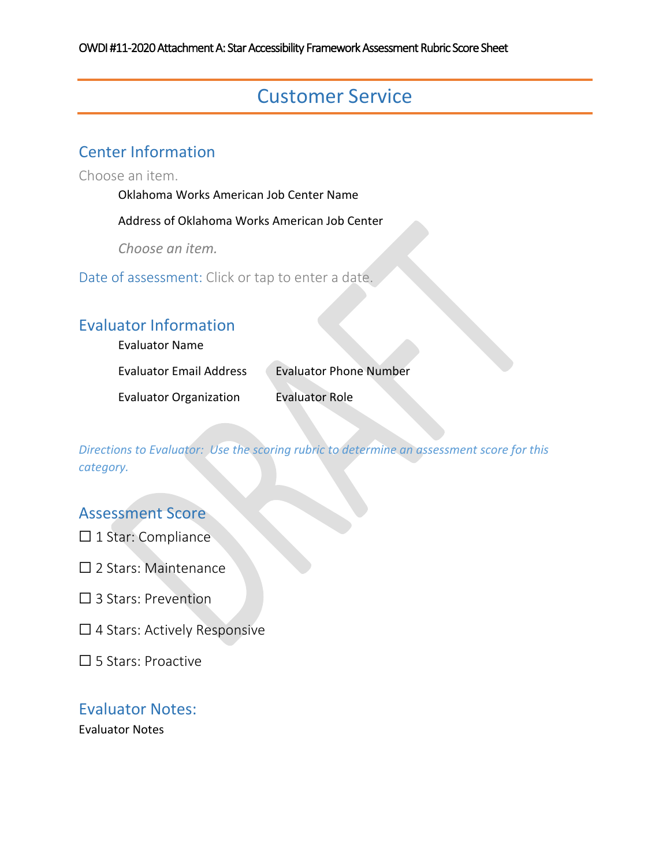# Customer Service

### Center Information

Choose an item.

Oklahoma Works American Job Center Name

Address of Oklahoma Works American Job Center

*Choose an item.*

Date of assessment: Click or tap to enter a date.

### Evaluator Information

Evaluator Name

Evaluator Email Address Evaluator Phone Number

Evaluator Organization Evaluator Role

*Directions to Evaluator: Use the scoring rubric to determine an assessment score for this category.*

#### Assessment Score

- ☐ 1 Star: Compliance
- □ 2 Stars: Maintenance
- ☐ 3 Stars: Prevention
- □ 4 Stars: Actively Responsive
- ☐ 5 Stars: Proactive

#### Evaluator Notes: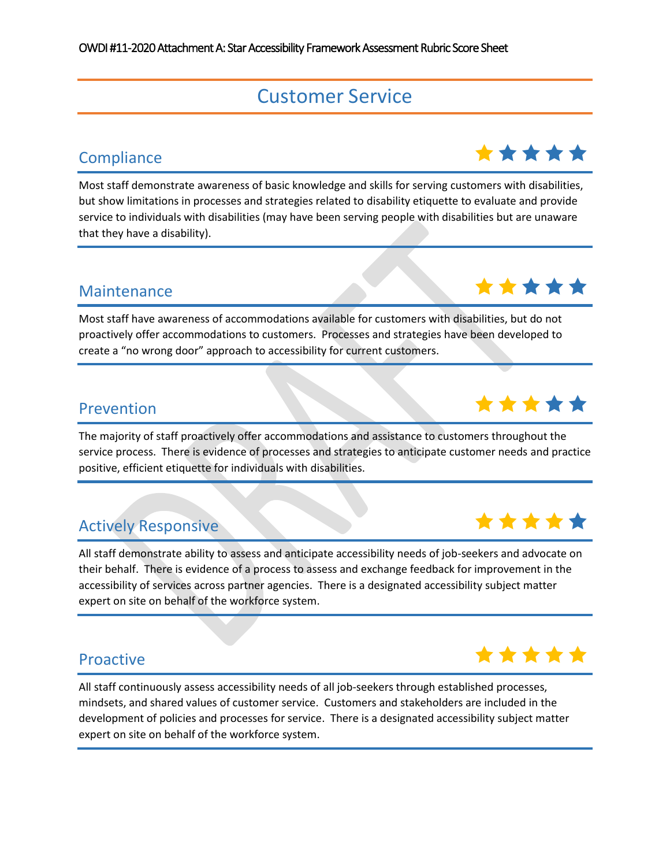# Customer Service

# Compliance **the compliance** the compliance of the compliance of the compliance of the compliance of the compliance

Most staff demonstrate awareness of basic knowledge and skills for serving customers with disabilities, but show limitations in processes and strategies related to disability etiquette to evaluate and provide service to individuals with disabilities (may have been serving people with disabilities but are unaware that they have a disability).

Most staff have awareness of accommodations available for customers with disabilities, but do not proactively offer accommodations to customers. Processes and strategies have been developed to create a "no wrong door" approach to accessibility for current customers.

# Prevention **Prevention**

The majority of staff proactively offer accommodations and assistance to customers throughout the service process. There is evidence of processes and strategies to anticipate customer needs and practice positive, efficient etiquette for individuals with disabilities.

# Actively Responsive and the set of the set of the set of the set of the set of the set of the set of the set of the set of the set of the set of the set of the set of the set of the set of the set of the set of the set of

All staff demonstrate ability to assess and anticipate accessibility needs of job-seekers and advocate on their behalf. There is evidence of a process to assess and exchange feedback for improvement in the accessibility of services across partner agencies. There is a designated accessibility subject matter expert on site on behalf of the workforce system.

# Proactive **A** in the set of the set of the set of the set of the set of the set of the set of the set of the set of the set of the set of the set of the set of the set of the set of the set of the set of the set of the set

All staff continuously assess accessibility needs of all job-seekers through established processes, mindsets, and shared values of customer service. Customers and stakeholders are included in the development of policies and processes for service. There is a designated accessibility subject matter expert on site on behalf of the workforce system.





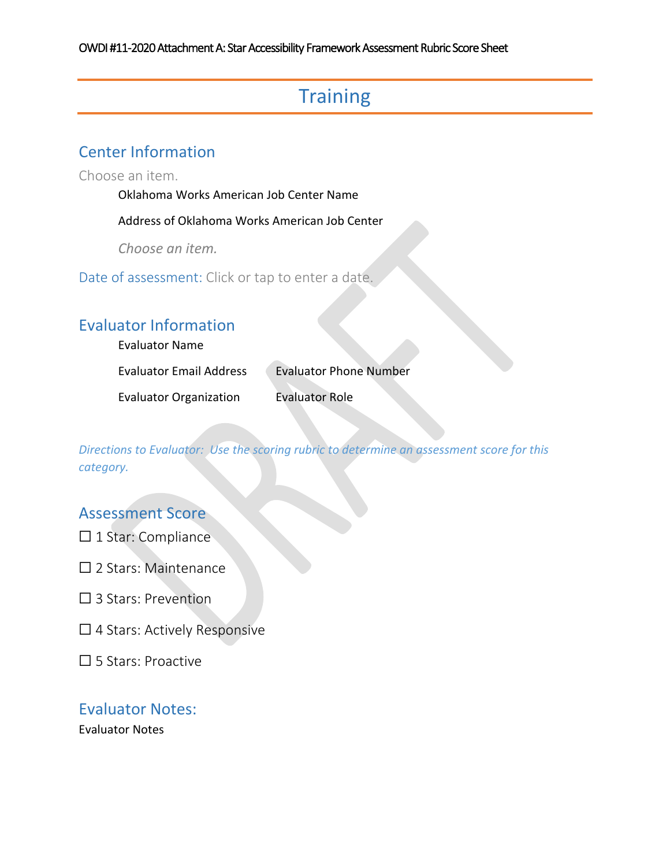# **Training**

### Center Information

Choose an item.

Oklahoma Works American Job Center Name

Address of Oklahoma Works American Job Center

*Choose an item.*

Date of assessment: Click or tap to enter a date.

### Evaluator Information

Evaluator Name

Evaluator Email Address Evaluator Phone Number

Evaluator Organization Evaluator Role

*Directions to Evaluator: Use the scoring rubric to determine an assessment score for this category.*

#### Assessment Score

- ☐ 1 Star: Compliance
- □ 2 Stars: Maintenance
- ☐ 3 Stars: Prevention
- $\Box$  4 Stars: Actively Responsive
- ☐ 5 Stars: Proactive

#### Evaluator Notes: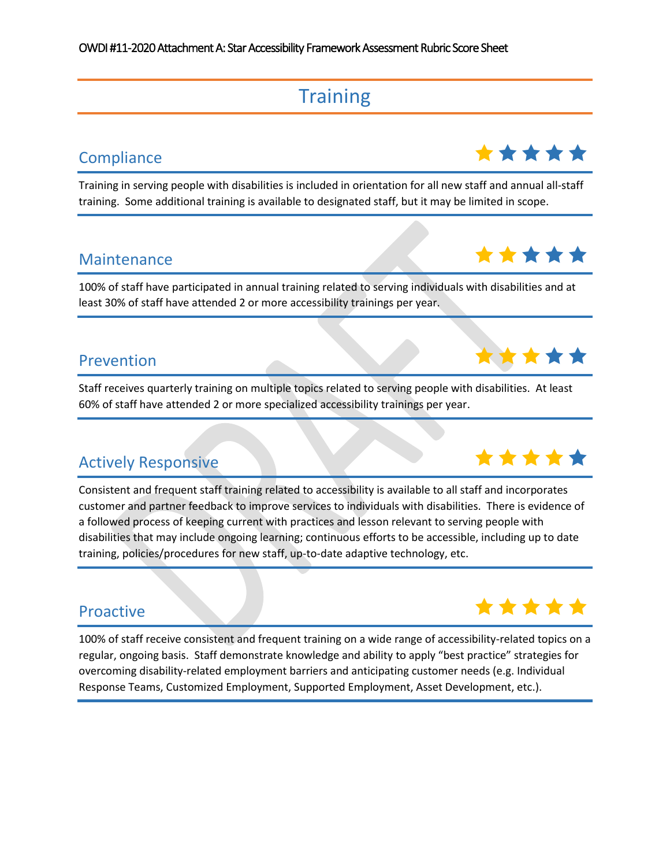# **Training**

Training in serving people with disabilities is included in orientation for all new staff and annual all-staff training. Some additional training is available to designated staff, but it may be limited in scope.

# Maintenance **大大大大大**

100% of staff have participated in annual training related to serving individuals with disabilities and at least 30% of staff have attended 2 or more accessibility trainings per year.

# Prevention 2007年全文文文文文

Staff receives quarterly training on multiple topics related to serving people with disabilities. At least 60% of staff have attended 2 or more specialized accessibility trainings per year.

# Actively Responsive and the set of the set of the set of the set of the set of the set of the set of the set of the set of the set of the set of the set of the set of the set of the set of the set of the set of the set of

Consistent and frequent staff training related to accessibility is available to all staff and incorporates customer and partner feedback to improve services to individuals with disabilities. There is evidence of a followed process of keeping current with practices and lesson relevant to serving people with disabilities that may include ongoing learning; continuous efforts to be accessible, including up to date training, policies/procedures for new staff, up-to-date adaptive technology, etc.

100% of staff receive consistent and frequent training on a wide range of accessibility-related topics on a regular, ongoing basis. Staff demonstrate knowledge and ability to apply "best practice" strategies for overcoming disability-related employment barriers and anticipating customer needs (e.g. Individual Response Teams, Customized Employment, Supported Employment, Asset Development, etc.).







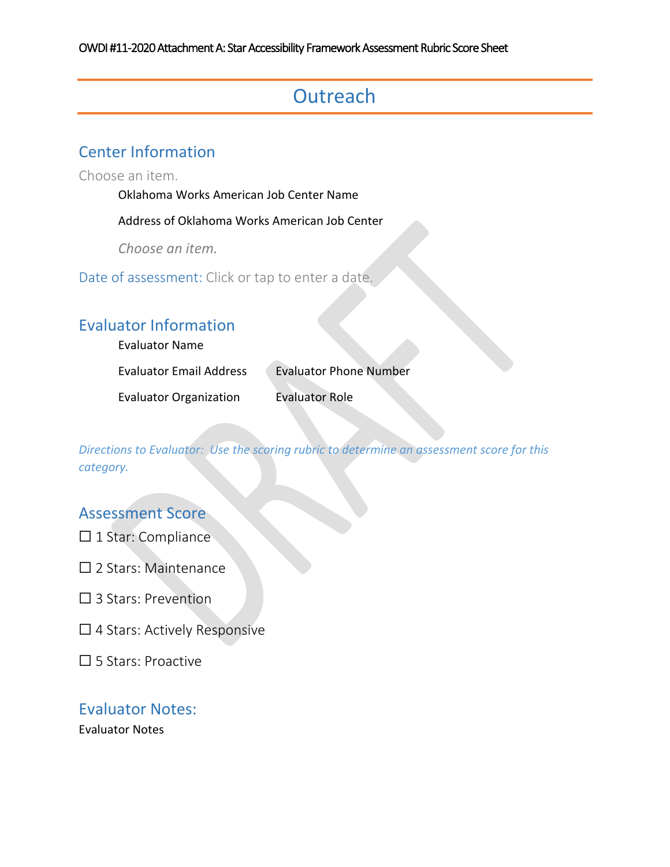# **Outreach**

### Center Information

Choose an item.

Oklahoma Works American Job Center Name

Address of Oklahoma Works American Job Center

*Choose an item.*

Date of assessment: Click or tap to enter a date.

### Evaluator Information

Evaluator Name

Evaluator Email Address Evaluator Phone Number

Evaluator Organization Evaluator Role

*Directions to Evaluator: Use the scoring rubric to determine an assessment score for this category.*

#### Assessment Score

- ☐ 1 Star: Compliance
- □ 2 Stars: Maintenance
- ☐ 3 Stars: Prevention
- $\Box$  4 Stars: Actively Responsive
- ☐ 5 Stars: Proactive

#### Evaluator Notes: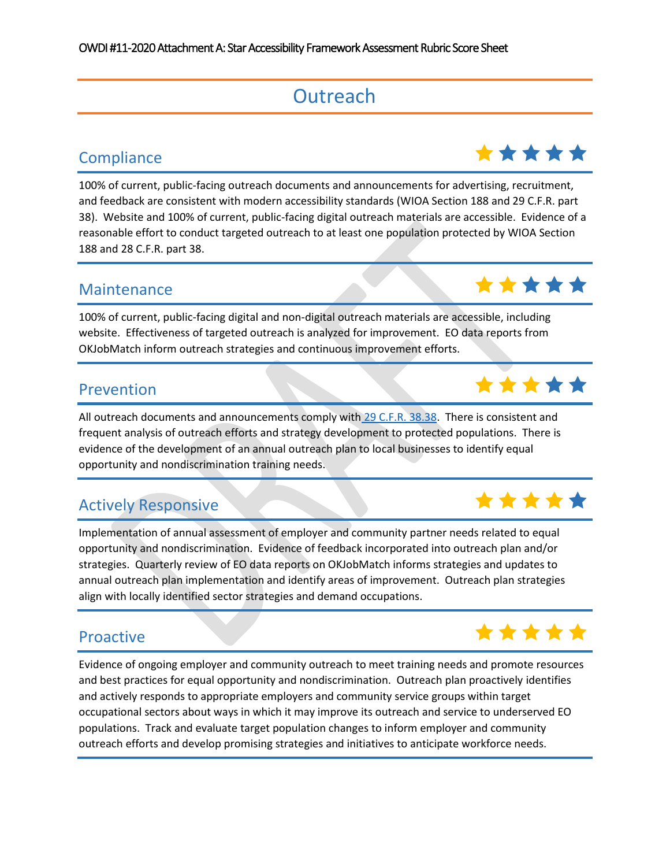# **Outreach**

100% of current, public-facing outreach documents and announcements for advertising, recruitment, and feedback are consistent with modern accessibility standards (WIOA Section 188 and 29 C.F.R. part 38). Website and 100% of current, public-facing digital outreach materials are accessible. Evidence of a reasonable effort to conduct targeted outreach to at least one population protected by WIOA Section 188 and 28 C.F.R. part 38.

# Maintenance **Windows At A** ★ ★ ★ ★ ★

100% of current, public-facing digital and non-digital outreach materials are accessible, including website. Effectiveness of targeted outreach is analyzed for improvement. EO data reports from OKJobMatch inform outreach strategies and continuous improvement efforts.

All outreach documents and announcements comply wit[h](https://www.ecfr.gov/cgi-bin/retrieveECFR?gp=&SID=c41f5f0bffc02f6b84b9d102750abae4&mc=true&n=pt29.1.38&r=PART&ty=HTML#se29.1.38_138) [29 C.F.R. 38.38.](https://www.ecfr.gov/cgi-bin/retrieveECFR?gp=&SID=c41f5f0bffc02f6b84b9d102750abae4&mc=true&n=pt29.1.38&r=PART&ty=HTML#se29.1.38_138) There is consistent and frequent analysis of outreach efforts and strategy development to protected populations. There is evidence of the development of an annual outreach plan to local businesses to identify equal opportunity and nondiscrimination training needs.

# Actively Responsive and the set of the set of the set of the set of the set of the set of the set of the set of the set of the set of the set of the set of the set of the set of the set of the set of the set of the set of

Implementation of annual assessment of employer and community partner needs related to equal opportunity and nondiscrimination. Evidence of feedback incorporated into outreach plan and/or strategies. Quarterly review of EO data reports on OKJobMatch informs strategies and updates to annual outreach plan implementation and identify areas of improvement. Outreach plan strategies align with locally identified sector strategies and demand occupations.

Evidence of ongoing employer and community outreach to meet training needs and promote resources and best practices for equal opportunity and nondiscrimination. Outreach plan proactively identifies and actively responds to appropriate employers and community service groups within target occupational sectors about ways in which it may improve its outreach and service to underserved EO populations. Track and evaluate target population changes to inform employer and community outreach efforts and develop promising strategies and initiatives to anticipate workforce needs.







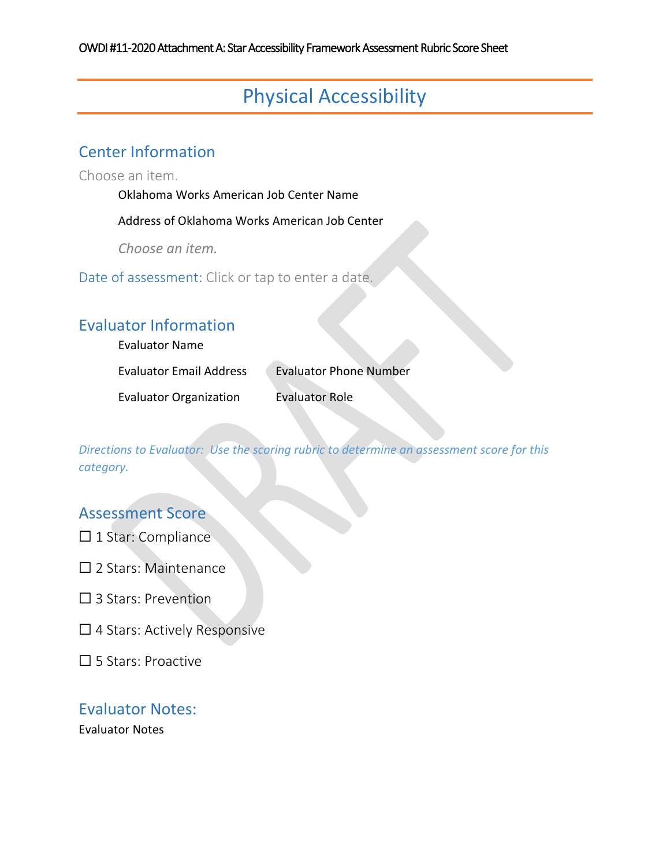# Physical Accessibility

### Center Information

Choose an item.

Oklahoma Works American Job Center Name

Address of Oklahoma Works American Job Center

*Choose an item.*

Date of assessment: Click or tap to enter a date.

### Evaluator Information

Evaluator Name

Evaluator Email Address Evaluator Phone Number

Evaluator Organization Evaluator Role

*Directions to Evaluator: Use the scoring rubric to determine an assessment score for this category.*

### Assessment Score

- ☐ 1 Star: Compliance
- □ 2 Stars: Maintenance
- ☐ 3 Stars: Prevention
- □ 4 Stars: Actively Responsive
- ☐ 5 Stars: Proactive

#### Evaluator Notes: